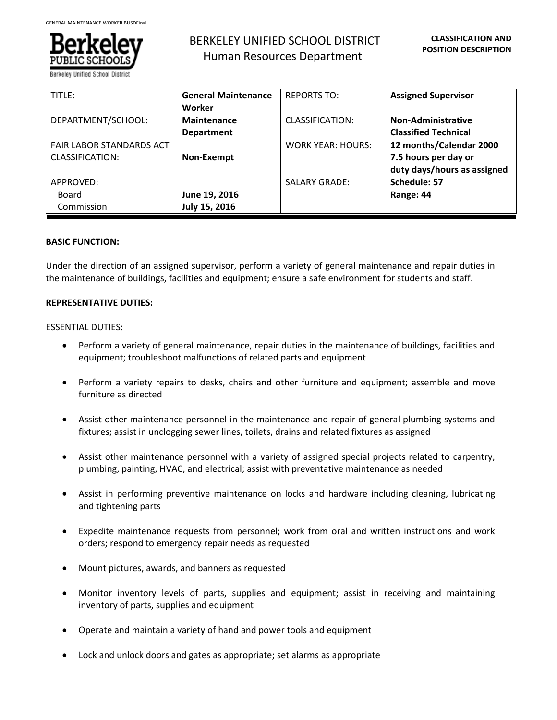

# BERKELEY UNIFIED SCHOOL DISTRICT Human Resources Department

| TITLE:                          | <b>General Maintenance</b> | <b>REPORTS TO:</b>       | <b>Assigned Supervisor</b>  |
|---------------------------------|----------------------------|--------------------------|-----------------------------|
|                                 | Worker                     |                          |                             |
| DEPARTMENT/SCHOOL:              | Maintenance                | CLASSIFICATION:          | Non-Administrative          |
|                                 | <b>Department</b>          |                          | <b>Classified Technical</b> |
| <b>FAIR LABOR STANDARDS ACT</b> |                            | <b>WORK YEAR: HOURS:</b> | 12 months/Calendar 2000     |
| <b>CLASSIFICATION:</b>          | Non-Exempt                 |                          | 7.5 hours per day or        |
|                                 |                            |                          | duty days/hours as assigned |
| APPROVED:                       |                            | <b>SALARY GRADE:</b>     | Schedule: 57                |
| Board                           | June 19, 2016              |                          | Range: 44                   |
| Commission                      | July 15, 2016              |                          |                             |

## **BASIC FUNCTION:**

Under the direction of an assigned supervisor, perform a variety of general maintenance and repair duties in the maintenance of buildings, facilities and equipment; ensure a safe environment for students and staff.

## **REPRESENTATIVE DUTIES:**

## ESSENTIAL DUTIES:

- Perform a variety of general maintenance, repair duties in the maintenance of buildings, facilities and equipment; troubleshoot malfunctions of related parts and equipment
- Perform a variety repairs to desks, chairs and other furniture and equipment; assemble and move furniture as directed
- Assist other maintenance personnel in the maintenance and repair of general plumbing systems and fixtures; assist in unclogging sewer lines, toilets, drains and related fixtures as assigned
- Assist other maintenance personnel with a variety of assigned special projects related to carpentry, plumbing, painting, HVAC, and electrical; assist with preventative maintenance as needed
- Assist in performing preventive maintenance on locks and hardware including cleaning, lubricating and tightening parts
- Expedite maintenance requests from personnel; work from oral and written instructions and work orders; respond to emergency repair needs as requested
- Mount pictures, awards, and banners as requested
- Monitor inventory levels of parts, supplies and equipment; assist in receiving and maintaining inventory of parts, supplies and equipment
- Operate and maintain a variety of hand and power tools and equipment
- Lock and unlock doors and gates as appropriate; set alarms as appropriate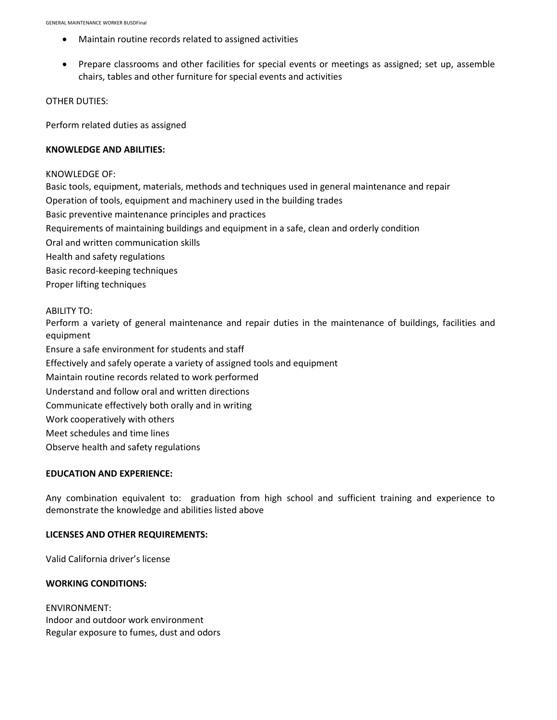- Maintain routine records related to assigned activities
- Prepare classrooms and other facilities for special events or meetings as assigned; set up, assemble chairs, tables and other furniture for special events and activities

OTHER DUTIES:

Perform related duties as assigned

### **KNOWLEDGE AND ABILITIES:**

#### KNOWLEDGE OF:

Basic tools, equipment, materials, methods and techniques used in general maintenance and repair Operation of tools, equipment and machinery used in the building trades Basic preventive maintenance principles and practices Requirements of maintaining buildings and equipment in a safe, clean and orderly condition Oral and written communication skills Health and safety regulations Basic record-keeping techniques Proper lifting techniques

#### ABILITY TO:

Perform a variety of general maintenance and repair duties in the maintenance of buildings, facilities and equipment

Ensure a safe environment for students and staff

Effectively and safely operate a variety of assigned tools and equipment

Maintain routine records related to work performed

Understand and follow oral and written directions

Communicate effectively both orally and in writing

Work cooperatively with others

Meet schedules and time lines

Observe health and safety regulations

#### **EDUCATION AND EXPERIENCE:**

Any combination equivalent to: graduation from high school and sufficient training and experience to demonstrate the knowledge and abilities listed above

#### **LICENSES AND OTHER REQUIREMENTS:**

Valid California driver's license

#### **WORKING CONDITIONS:**

ENVIRONMENT: Indoor and outdoor work environment Regular exposure to fumes, dust and odors